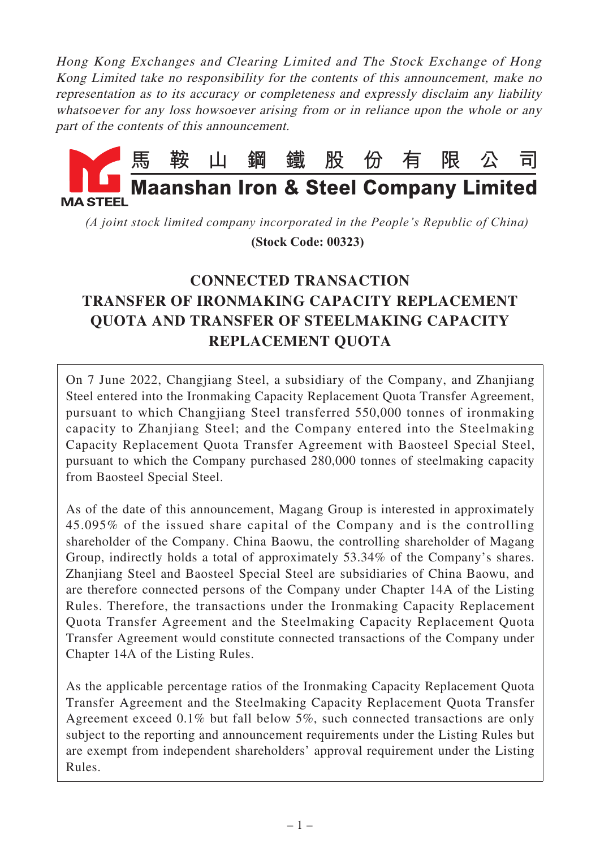Hong Kong Exchanges and Clearing Limited and The Stock Exchange of Hong Kong Limited take no responsibility for the contents of this announcement, make no representation as to its accuracy or completeness and expressly disclaim any liability whatsoever for any loss howsoever arising from or in reliance upon the whole or any part of the contents of this announcement.



*(A joint stock limited company incorporated in the People's Republic of China)*

 **(Stock Code: 00323)**

# **CONNECTED TRANSACTION TRANSFER OF IRONMAKING CAPACITY REPLACEMENT QUOTA AND TRANSFER OF STEELMAKING CAPACITY REPLACEMENT QUOTA**

On 7 June 2022, Changjiang Steel, a subsidiary of the Company, and Zhanjiang Steel entered into the Ironmaking Capacity Replacement Quota Transfer Agreement, pursuant to which Changjiang Steel transferred 550,000 tonnes of ironmaking capacity to Zhanjiang Steel; and the Company entered into the Steelmaking Capacity Replacement Quota Transfer Agreement with Baosteel Special Steel, pursuant to which the Company purchased 280,000 tonnes of steelmaking capacity from Baosteel Special Steel.

As of the date of this announcement, Magang Group is interested in approximately 45.095% of the issued share capital of the Company and is the controlling shareholder of the Company. China Baowu, the controlling shareholder of Magang Group, indirectly holds a total of approximately 53.34% of the Company's shares. Zhanjiang Steel and Baosteel Special Steel are subsidiaries of China Baowu, and are therefore connected persons of the Company under Chapter 14A of the Listing Rules. Therefore, the transactions under the Ironmaking Capacity Replacement Quota Transfer Agreement and the Steelmaking Capacity Replacement Quota Transfer Agreement would constitute connected transactions of the Company under Chapter 14A of the Listing Rules.

As the applicable percentage ratios of the Ironmaking Capacity Replacement Quota Transfer Agreement and the Steelmaking Capacity Replacement Quota Transfer Agreement exceed 0.1% but fall below 5%, such connected transactions are only subject to the reporting and announcement requirements under the Listing Rules but are exempt from independent shareholders' approval requirement under the Listing Rules.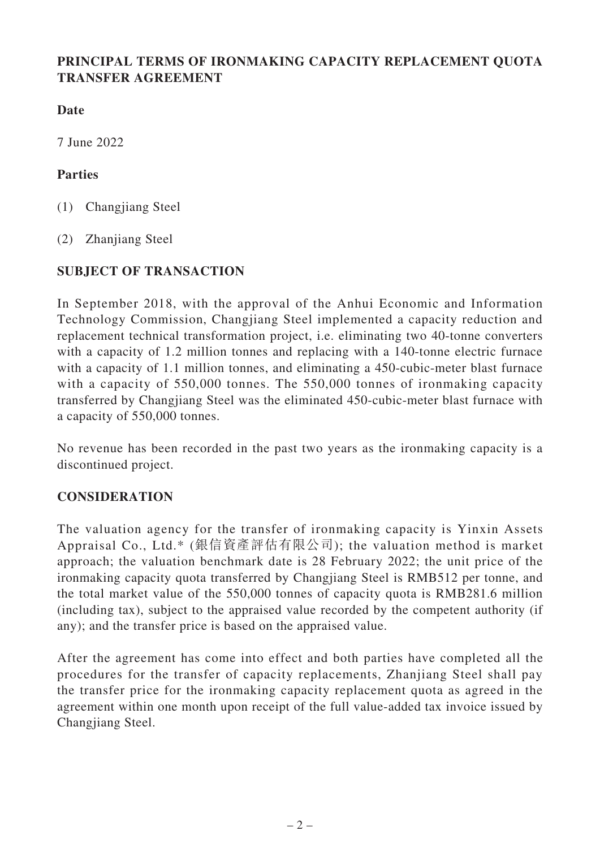#### **PRINCIPAL TERMS OF IRONMAKING CAPACITY REPLACEMENT QUOTA TRANSFER AGREEMENT**

**Date**

7 June 2022

#### **Parties**

(1) Changjiang Steel

(2) Zhanjiang Steel

# **SUBJECT OF TRANSACTION**

In September 2018, with the approval of the Anhui Economic and Information Technology Commission, Changjiang Steel implemented a capacity reduction and replacement technical transformation project, i.e. eliminating two 40-tonne converters with a capacity of 1.2 million tonnes and replacing with a 140-tonne electric furnace with a capacity of 1.1 million tonnes, and eliminating a 450-cubic-meter blast furnace with a capacity of 550,000 tonnes. The 550,000 tonnes of ironmaking capacity transferred by Changjiang Steel was the eliminated 450-cubic-meter blast furnace with a capacity of 550,000 tonnes.

No revenue has been recorded in the past two years as the ironmaking capacity is a discontinued project.

#### **CONSIDERATION**

The valuation agency for the transfer of ironmaking capacity is Yinxin Assets Appraisal Co., Ltd.\* (銀信資產評估有限公司); the valuation method is market approach; the valuation benchmark date is 28 February 2022; the unit price of the ironmaking capacity quota transferred by Changjiang Steel is RMB512 per tonne, and the total market value of the 550,000 tonnes of capacity quota is RMB281.6 million (including tax), subject to the appraised value recorded by the competent authority (if any); and the transfer price is based on the appraised value.

After the agreement has come into effect and both parties have completed all the procedures for the transfer of capacity replacements, Zhanjiang Steel shall pay the transfer price for the ironmaking capacity replacement quota as agreed in the agreement within one month upon receipt of the full value-added tax invoice issued by Changjiang Steel.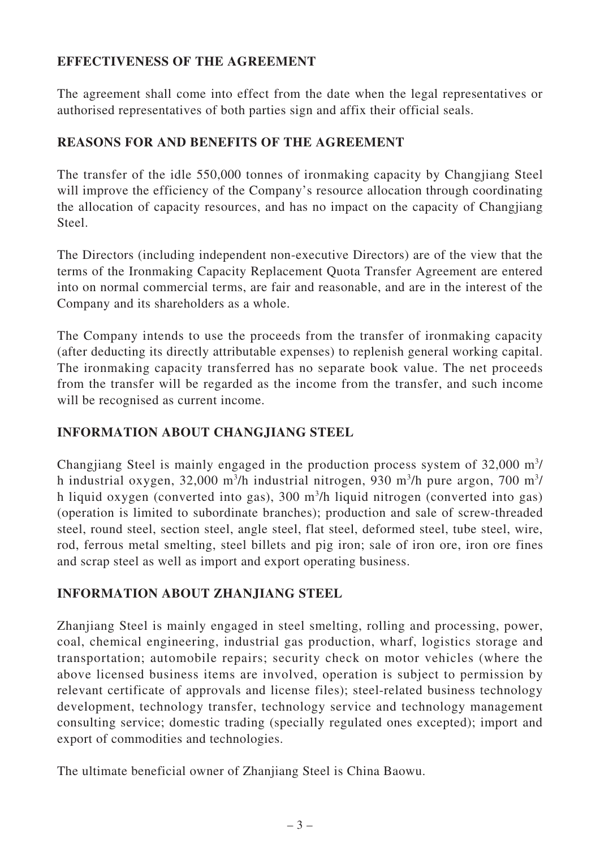#### **EFFECTIVENESS OF THE AGREEMENT**

The agreement shall come into effect from the date when the legal representatives or authorised representatives of both parties sign and affix their official seals.

# **REASONS FOR AND BENEFITS OF THE AGREEMENT**

The transfer of the idle 550,000 tonnes of ironmaking capacity by Changjiang Steel will improve the efficiency of the Company's resource allocation through coordinating the allocation of capacity resources, and has no impact on the capacity of Changjiang Steel.

The Directors (including independent non-executive Directors) are of the view that the terms of the Ironmaking Capacity Replacement Quota Transfer Agreement are entered into on normal commercial terms, are fair and reasonable, and are in the interest of the Company and its shareholders as a whole.

The Company intends to use the proceeds from the transfer of ironmaking capacity (after deducting its directly attributable expenses) to replenish general working capital. The ironmaking capacity transferred has no separate book value. The net proceeds from the transfer will be regarded as the income from the transfer, and such income will be recognised as current income.

#### **INFORMATION ABOUT CHANGJIANG STEEL**

Changjiang Steel is mainly engaged in the production process system of  $32,000 \text{ m}^3$ / h industrial oxygen, 32,000 m<sup>3</sup>/h industrial nitrogen, 930 m<sup>3</sup>/h pure argon, 700 m<sup>3</sup>/ h liquid oxygen (converted into gas), 300 m<sup>3</sup>/h liquid nitrogen (converted into gas) (operation is limited to subordinate branches); production and sale of screw-threaded steel, round steel, section steel, angle steel, flat steel, deformed steel, tube steel, wire, rod, ferrous metal smelting, steel billets and pig iron; sale of iron ore, iron ore fines and scrap steel as well as import and export operating business.

# **INFORMATION ABOUT ZHANJIANG STEEL**

Zhanjiang Steel is mainly engaged in steel smelting, rolling and processing, power, coal, chemical engineering, industrial gas production, wharf, logistics storage and transportation; automobile repairs; security check on motor vehicles (where the above licensed business items are involved, operation is subject to permission by relevant certificate of approvals and license files); steel-related business technology development, technology transfer, technology service and technology management consulting service; domestic trading (specially regulated ones excepted); import and export of commodities and technologies.

The ultimate beneficial owner of Zhanjiang Steel is China Baowu.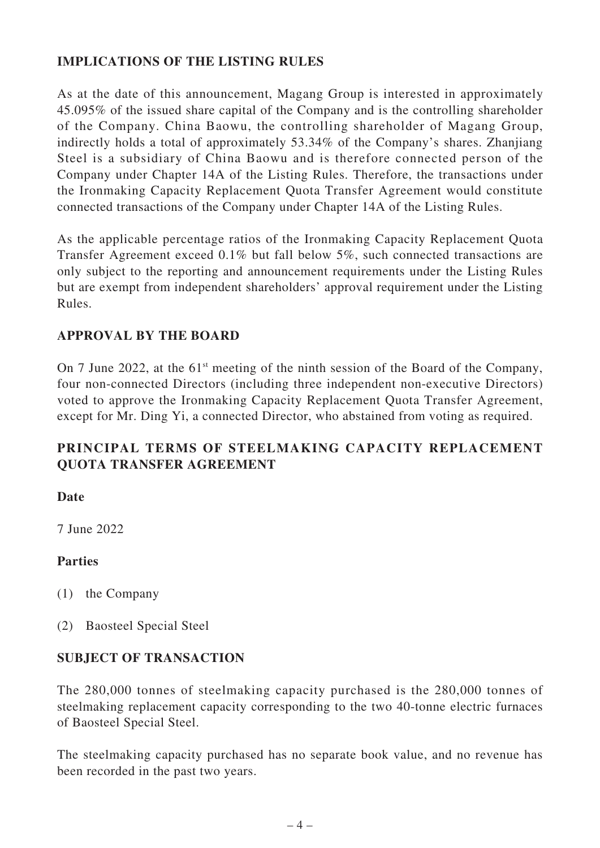#### **IMPLICATIONS OF THE LISTING RULES**

As at the date of this announcement, Magang Group is interested in approximately 45.095% of the issued share capital of the Company and is the controlling shareholder of the Company. China Baowu, the controlling shareholder of Magang Group, indirectly holds a total of approximately 53.34% of the Company's shares. Zhanjiang Steel is a subsidiary of China Baowu and is therefore connected person of the Company under Chapter 14A of the Listing Rules. Therefore, the transactions under the Ironmaking Capacity Replacement Quota Transfer Agreement would constitute connected transactions of the Company under Chapter 14A of the Listing Rules.

As the applicable percentage ratios of the Ironmaking Capacity Replacement Quota Transfer Agreement exceed 0.1% but fall below 5%, such connected transactions are only subject to the reporting and announcement requirements under the Listing Rules but are exempt from independent shareholders' approval requirement under the Listing Rules.

#### **APPROVAL BY THE BOARD**

On 7 June 2022, at the  $61<sup>st</sup>$  meeting of the ninth session of the Board of the Company, four non-connected Directors (including three independent non-executive Directors) voted to approve the Ironmaking Capacity Replacement Quota Transfer Agreement, except for Mr. Ding Yi, a connected Director, who abstained from voting as required.

# **PRINCIPAL TERMS OF STEELMAKING CAPACITY REPLACEMENT QUOTA TRANSFER AGREEMENT**

#### **Date**

7 June 2022

#### **Parties**

- (1) the Company
- (2) Baosteel Special Steel

#### **SUBJECT OF TRANSACTION**

The 280,000 tonnes of steelmaking capacity purchased is the 280,000 tonnes of steelmaking replacement capacity corresponding to the two 40-tonne electric furnaces of Baosteel Special Steel.

The steelmaking capacity purchased has no separate book value, and no revenue has been recorded in the past two years.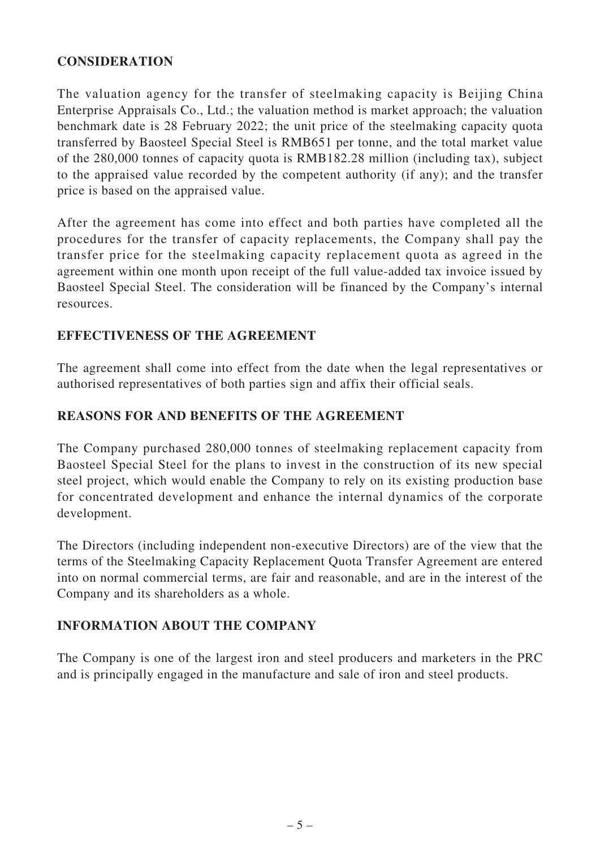#### **CONSIDERATION**

The valuation agency for the transfer of steelmaking capacity is Beijing China Enterprise Appraisals Co., Ltd.; the valuation method is market approach; the valuation benchmark date is 28 February 2022; the unit price of the steelmaking capacity quota transferred by Baosteel Special Steel is RMB651 per tonne, and the total market value of the 280,000 tonnes of capacity quota is RMB182.28 million (including tax), subject to the appraised value recorded by the competent authority (if any); and the transfer price is based on the appraised value.

After the agreement has come into effect and both parties have completed all the procedures for the transfer of capacity replacements, the Company shall pay the transfer price for the steelmaking capacity replacement quota as agreed in the agreement within one month upon receipt of the full value-added tax invoice issued by Baosteel Special Steel. The consideration will be financed by the Company's internal resources.

#### **EFFECTIVENESS OF THE AGREEMENT**

The agreement shall come into effect from the date when the legal representatives or authorised representatives of both parties sign and affix their official seals.

#### **REASONS FOR AND BENEFITS OF THE AGREEMENT**

The Company purchased 280,000 tonnes of steelmaking replacement capacity from Baosteel Special Steel for the plans to invest in the construction of its new special steel project, which would enable the Company to rely on its existing production base for concentrated development and enhance the internal dynamics of the corporate development.

The Directors (including independent non-executive Directors) are of the view that the terms of the Steelmaking Capacity Replacement Quota Transfer Agreement are entered into on normal commercial terms, are fair and reasonable, and are in the interest of the Company and its shareholders as a whole.

#### **INFORMATION ABOUT THE COMPANY**

The Company is one of the largest iron and steel producers and marketers in the PRC and is principally engaged in the manufacture and sale of iron and steel products.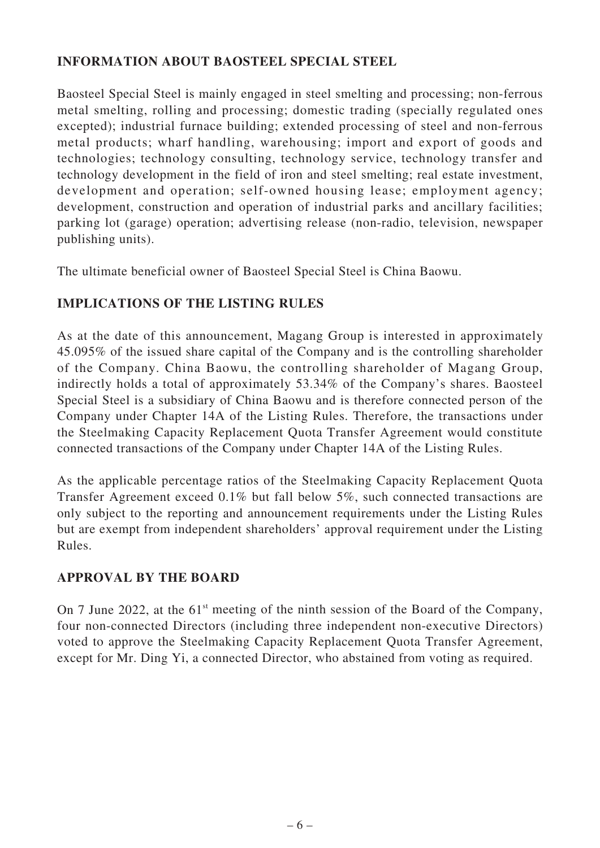#### **INFORMATION ABOUT BAOSTEEL SPECIAL STEEL**

Baosteel Special Steel is mainly engaged in steel smelting and processing; non-ferrous metal smelting, rolling and processing; domestic trading (specially regulated ones excepted); industrial furnace building; extended processing of steel and non-ferrous metal products; wharf handling, warehousing; import and export of goods and technologies; technology consulting, technology service, technology transfer and technology development in the field of iron and steel smelting; real estate investment, development and operation; self-owned housing lease; employment agency; development, construction and operation of industrial parks and ancillary facilities; parking lot (garage) operation; advertising release (non-radio, television, newspaper publishing units).

The ultimate beneficial owner of Baosteel Special Steel is China Baowu.

# **IMPLICATIONS OF THE LISTING RULES**

As at the date of this announcement, Magang Group is interested in approximately 45.095% of the issued share capital of the Company and is the controlling shareholder of the Company. China Baowu, the controlling shareholder of Magang Group, indirectly holds a total of approximately 53.34% of the Company's shares. Baosteel Special Steel is a subsidiary of China Baowu and is therefore connected person of the Company under Chapter 14A of the Listing Rules. Therefore, the transactions under the Steelmaking Capacity Replacement Quota Transfer Agreement would constitute connected transactions of the Company under Chapter 14A of the Listing Rules.

As the applicable percentage ratios of the Steelmaking Capacity Replacement Quota Transfer Agreement exceed 0.1% but fall below 5%, such connected transactions are only subject to the reporting and announcement requirements under the Listing Rules but are exempt from independent shareholders' approval requirement under the Listing Rules.

# **APPROVAL BY THE BOARD**

On 7 June 2022, at the  $61<sup>st</sup>$  meeting of the ninth session of the Board of the Company, four non-connected Directors (including three independent non-executive Directors) voted to approve the Steelmaking Capacity Replacement Quota Transfer Agreement, except for Mr. Ding Yi, a connected Director, who abstained from voting as required.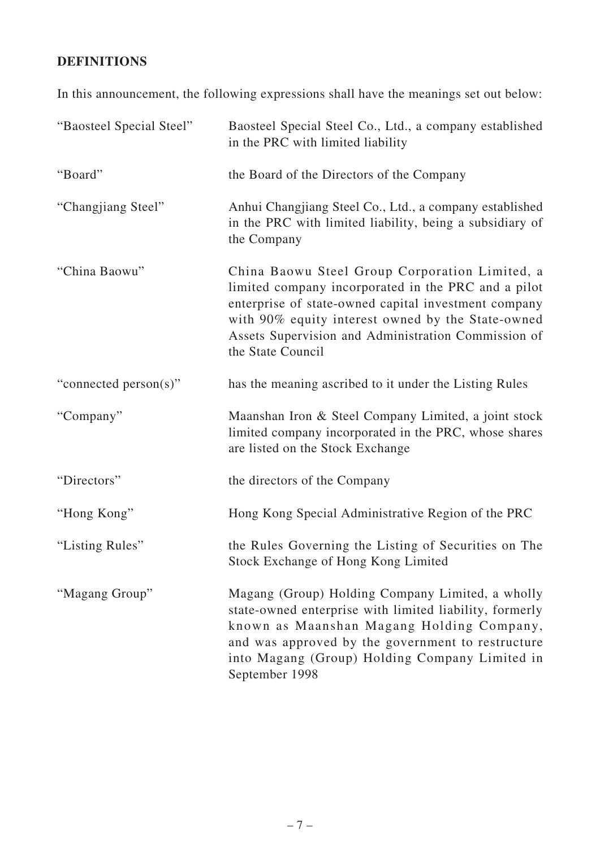# **DEFINITIONS**

In this announcement, the following expressions shall have the meanings set out below:

| "Baosteel Special Steel" | Baosteel Special Steel Co., Ltd., a company established<br>in the PRC with limited liability                                                                                                                                                                                                   |
|--------------------------|------------------------------------------------------------------------------------------------------------------------------------------------------------------------------------------------------------------------------------------------------------------------------------------------|
| "Board"                  | the Board of the Directors of the Company                                                                                                                                                                                                                                                      |
| "Changjiang Steel"       | Anhui Changjiang Steel Co., Ltd., a company established<br>in the PRC with limited liability, being a subsidiary of<br>the Company                                                                                                                                                             |
| "China Baowu"            | China Baowu Steel Group Corporation Limited, a<br>limited company incorporated in the PRC and a pilot<br>enterprise of state-owned capital investment company<br>with 90% equity interest owned by the State-owned<br>Assets Supervision and Administration Commission of<br>the State Council |
| "connected person(s)"    | has the meaning ascribed to it under the Listing Rules                                                                                                                                                                                                                                         |
| "Company"                | Maanshan Iron & Steel Company Limited, a joint stock<br>limited company incorporated in the PRC, whose shares<br>are listed on the Stock Exchange                                                                                                                                              |
| "Directors"              | the directors of the Company                                                                                                                                                                                                                                                                   |
| "Hong Kong"              | Hong Kong Special Administrative Region of the PRC                                                                                                                                                                                                                                             |
| "Listing Rules"          | the Rules Governing the Listing of Securities on The<br>Stock Exchange of Hong Kong Limited                                                                                                                                                                                                    |
| "Magang Group"           | Magang (Group) Holding Company Limited, a wholly<br>state-owned enterprise with limited liability, formerly<br>known as Maanshan Magang Holding Company,<br>and was approved by the government to restructure<br>into Magang (Group) Holding Company Limited in<br>September 1998              |